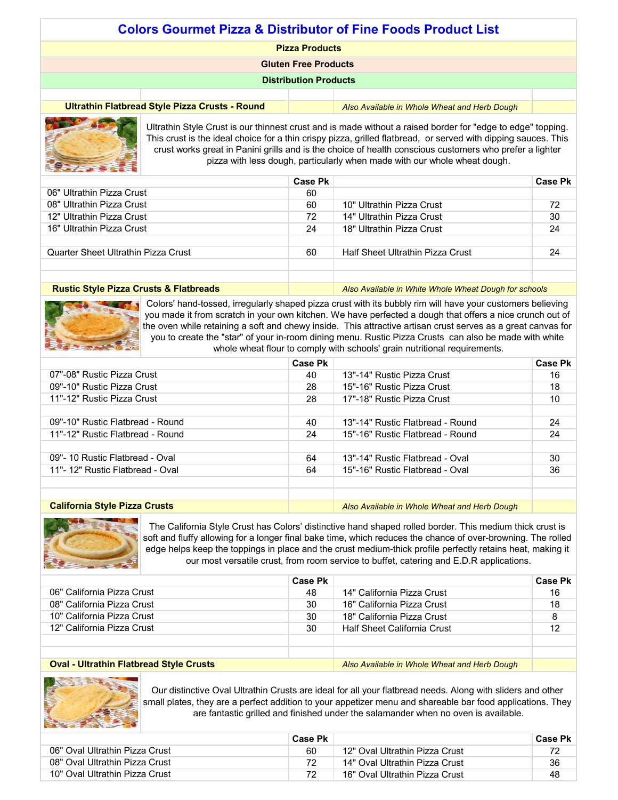| <b>Colors Gourmet Pizza &amp; Distributor of Fine Foods Product List</b>                       |                              |  |  |
|------------------------------------------------------------------------------------------------|------------------------------|--|--|
| <b>Pizza Products</b>                                                                          |                              |  |  |
| <b>Gluten Free Products</b>                                                                    |                              |  |  |
|                                                                                                | <b>Distribution Products</b> |  |  |
|                                                                                                |                              |  |  |
| Ultrathin Flatbread Style Pizza Crusts - Round<br>Also Available in Whole Wheat and Herb Dough |                              |  |  |
|                                                                                                |                              |  |  |



Ultrathin Style Crust is our thinnest crust and is made without a raised border for "edge to edge" topping. This crust is the ideal choice for a thin crispy pizza, grilled flatbread, or served with dipping sauces. This crust works great in Panini grills and is the choice of health conscious customers who prefer a lighter pizza with less dough, particularly when made with our whole wheat dough.

|                                                   | Case Pk |                                                       | Case Pk |
|---------------------------------------------------|---------|-------------------------------------------------------|---------|
| 06" Ultrathin Pizza Crust                         | 60      |                                                       |         |
| 08" Ultrathin Pizza Crust                         | 60      | 10" Ultrathin Pizza Crust                             | 72      |
| 12" Ultrathin Pizza Crust                         | 72      | 14" Ultrathin Pizza Crust                             | 30      |
| 16" Ultrathin Pizza Crust                         | 24      | 18" Ultrathin Pizza Crust                             | 24      |
|                                                   |         |                                                       |         |
| Quarter Sheet Ultrathin Pizza Crust               | 60      | Half Sheet Ultrathin Pizza Crust                      | 24      |
|                                                   |         |                                                       |         |
|                                                   |         |                                                       |         |
| <b>Rustic Style Pizza Crusts &amp; Flatbreads</b> |         | Also Available in White Whole Wheat Dough for schools |         |



Colors' hand-tossed, irregularly shaped pizza crust with its bubbly rim will have your customers believing you made it from scratch in your own kitchen. We have perfected a dough that offers a nice crunch out of the oven while retaining a soft and chewy inside. This attractive artisan crust serves as a great canvas for you to create the "star" of your in-room dining menu. Rustic Pizza Crusts can also be made with white whole wheat flour to comply with schools' grain nutritional requirements.

|                                      | Case Pk |                                              | <b>Case Pk</b> |
|--------------------------------------|---------|----------------------------------------------|----------------|
| 07"-08" Rustic Pizza Crust           | 40      | 13"-14" Rustic Pizza Crust                   | 16             |
| 09"-10" Rustic Pizza Crust           | 28      | 15"-16" Rustic Pizza Crust                   | 18             |
| 11"-12" Rustic Pizza Crust           | 28      | 17"-18" Rustic Pizza Crust                   | 10             |
|                                      |         |                                              |                |
| 09"-10" Rustic Flatbread - Round     | 40      | 13"-14" Rustic Flatbread - Round             | 24             |
| 11"-12" Rustic Flatbread - Round     | 24      | 15"-16" Rustic Flatbread - Round             | 24             |
|                                      |         |                                              |                |
| 09"- 10 Rustic Flatbread - Oval      | 64      | 13"-14" Rustic Flatbread - Oval              | 30             |
| 11"- 12" Rustic Flatbread - Oval     | 64      | 15"-16" Rustic Flatbread - Oval              | 36             |
|                                      |         |                                              |                |
|                                      |         |                                              |                |
| <b>California Style Pizza Crusts</b> |         | Also Available in Whole Wheat and Herb Dough |                |



The California Style Crust has Colors' distinctive hand shaped rolled border. This medium thick crust is soft and fluffy allowing for a longer final bake time, which reduces the chance of over-browning. The rolled edge helps keep the toppings in place and the crust medium-thick profile perfectly retains heat, making it our most versatile crust, from room service to buffet, catering and E.D.R applications.

|                                                | Case Pk |                                              | <b>Case Pk</b> |
|------------------------------------------------|---------|----------------------------------------------|----------------|
| 06" California Pizza Crust                     | 48      | 14" California Pizza Crust                   | 16             |
| 08" California Pizza Crust                     | 30      | 16" California Pizza Crust                   | 18             |
| 10" California Pizza Crust                     | 30      | 18" California Pizza Crust                   | 8              |
| 12" California Pizza Crust                     | 30      | <b>Half Sheet California Crust</b>           | 12             |
|                                                |         |                                              |                |
|                                                |         |                                              |                |
| <b>Oval - Ultrathin Flatbread Style Crusts</b> |         | Also Available in Whole Wheat and Herb Dough |                |

# **Oval - Ultrathin Flatbread Style Crusts**



Our distinctive Oval Ultrathin Crusts are ideal for all your flatbread needs. Along with sliders and other small plates, they are a perfect addition to your appetizer menu and shareable bar food applications. They are fantastic grilled and finished under the salamander when no oven is available.

|                                | Case Pk |                                | Case Pk |
|--------------------------------|---------|--------------------------------|---------|
| 06" Oval Ultrathin Pizza Crust | 60      | 12" Oval Ultrathin Pizza Crust |         |
| 08" Oval Ultrathin Pizza Crust |         | 14" Oval Ultrathin Pizza Crust | 36      |
| 10" Oval Ultrathin Pizza Crust |         | 16" Oval Ultrathin Pizza Crust | 48      |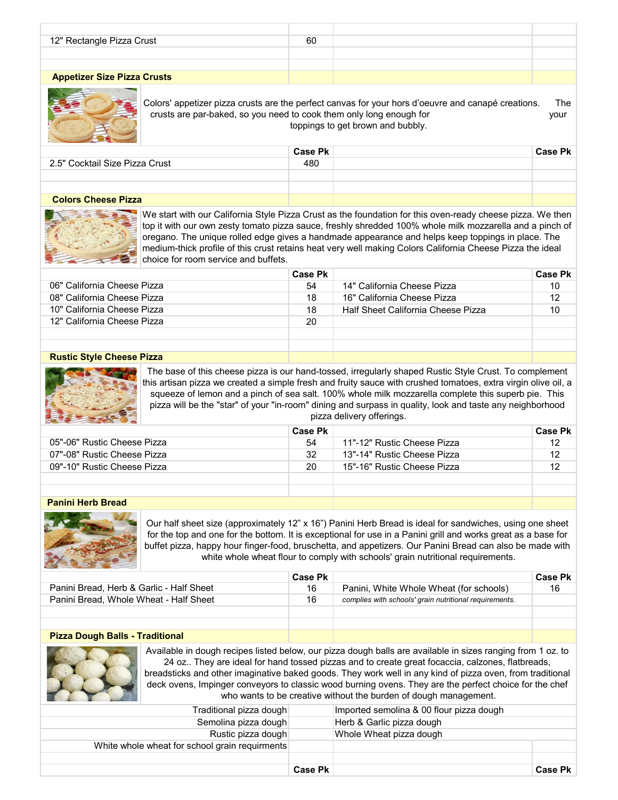| 12" Rectangle Pizza Crust          | 60 |  |
|------------------------------------|----|--|
|                                    |    |  |
|                                    |    |  |
| <b>Appetizer Size Pizza Crusts</b> |    |  |



Colors' appetizer pizza crusts are the perfect canvas for your hors d'oeuvre and canapé creations. The crusts are par-baked, so you need to cook them only long enough for your toppings to get brown and bubbly.

|                                | <b>Case Pk</b> |  | <b>Case Pk</b> |
|--------------------------------|----------------|--|----------------|
| 2.5" Cocktail Size Pizza Crust | 480            |  |                |
|                                |                |  |                |
|                                |                |  |                |
| <b>CONTRACTOR</b>              |                |  |                |

## **Colors Cheese Pizza**



We start with our California Style Pizza Crust as the foundation for this oven-ready cheese pizza. We then top it with our own zesty tomato pizza sauce, freshly shredded 100% whole milk mozzarella and a pinch of oregano. The unique rolled edge gives a handmade appearance and helps keep toppings in place. The medium-thick profile of this crust retains heat very well making Colors California Cheese Pizza the ideal choice for room service and buffets.

|                             | Case Pk |                                    | <b>Case Pk</b> |
|-----------------------------|---------|------------------------------------|----------------|
| 06" California Cheese Pizza | 54      | 14" California Cheese Pizza        | 10             |
| 08" California Cheese Pizza | 18      | 16" California Cheese Pizza        | 12             |
| 10" California Cheese Pizza | 18      | Half Sheet California Cheese Pizza | 10             |
| 12" California Cheese Pizza | 20      |                                    |                |
|                             |         |                                    |                |
|                             |         |                                    |                |

## **Rustic Style Cheese Pizza**



The base of this cheese pizza is our hand-tossed, irregularly shaped Rustic Style Crust. To complement this artisan pizza we created a simple fresh and fruity sauce with crushed tomatoes, extra virgin olive oil, a squeeze of lemon and a pinch of sea salt. 100% whole milk mozzarella complete this superb pie. This pizza will be the "star" of your "in-room" dining and surpass in quality, look and taste any neighborhood pizza delivery offerings.

|                             | Case Pk |                             | Case Pk |
|-----------------------------|---------|-----------------------------|---------|
| 05"-06" Rustic Cheese Pizza | 54      | 11"-12" Rustic Cheese Pizza |         |
| 07"-08" Rustic Cheese Pizza | 32      | 13"-14" Rustic Cheese Pizza |         |
| 09"-10" Rustic Cheese Pizza | 20      | 15"-16" Rustic Cheese Pizza |         |
|                             |         |                             |         |
|                             |         |                             |         |

# **Panini Herb Bread**



Our half sheet size (approximately 12" x 16") Panini Herb Bread is ideal for sandwiches, using one sheet for the top and one for the bottom. It is exceptional for use in a Panini grill and works great as a base for buffet pizza, happy hour finger-food, bruschetta, and appetizers. Our Panini Bread can also be made with white whole wheat flour to comply with schools' grain nutritional requirements.

|                                          | Case Pk |                                                        | <b>Case Pk</b> |
|------------------------------------------|---------|--------------------------------------------------------|----------------|
| Panini Bread, Herb & Garlic - Half Sheet | 16      | Panini, White Whole Wheat (for schools)                | 16             |
| Panini Bread, Whole Wheat - Half Sheet   | 16      | complies with schools' grain nutritional requirements. |                |
|                                          |         |                                                        |                |
|                                          |         |                                                        |                |

# **Pizza Dough Balls - Traditional**



Available in dough recipes listed below, our pizza dough balls are available in sizes ranging from 1 oz. to 24 oz.. They are ideal for hand tossed pizzas and to create great focaccia, calzones, flatbreads, breadsticks and other imaginative baked goods. They work well in any kind of pizza oven, from traditional deck ovens, Impinger conveyors to classic wood burning ovens. They are the perfect choice for the chef who wants to be creative without the burden of dough management.

| Traditional pizza dough                        |                | Imported semolina & 00 flour pizza dough |                |
|------------------------------------------------|----------------|------------------------------------------|----------------|
| Semolina pizza dough                           |                | Herb & Garlic pizza dough                |                |
| Rustic pizza dough                             |                | Whole Wheat pizza dough                  |                |
| White whole wheat for school grain requirments |                |                                          |                |
|                                                |                |                                          |                |
|                                                |                |                                          |                |
|                                                | <b>Case Pk</b> |                                          | <b>Case Pk</b> |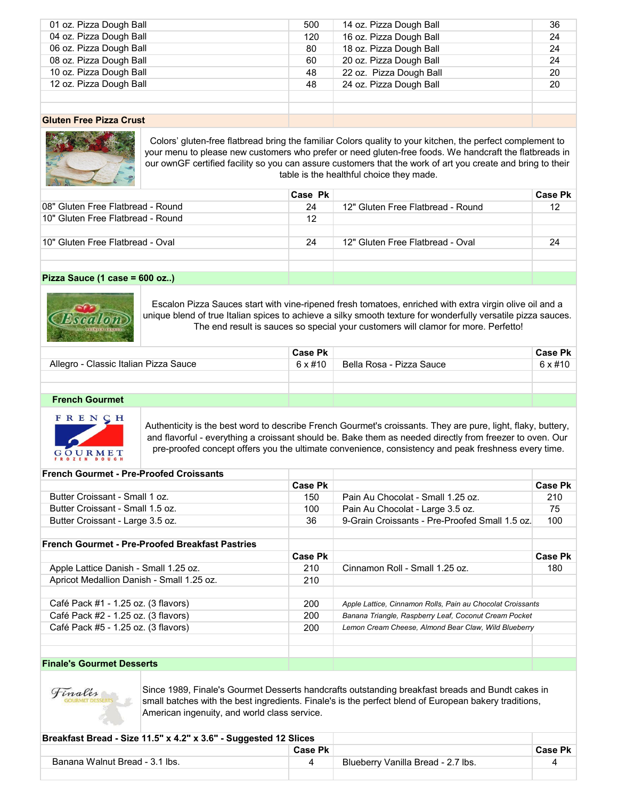| 01 oz. Pizza Dough Ball                                                                                                                                                                                                                                                                                                        | 500 | 14 oz. Pizza Dough Ball | 36 |
|--------------------------------------------------------------------------------------------------------------------------------------------------------------------------------------------------------------------------------------------------------------------------------------------------------------------------------|-----|-------------------------|----|
| 04 oz. Pizza Dough Ball                                                                                                                                                                                                                                                                                                        | 120 | 16 oz. Pizza Dough Ball | 24 |
| 06 oz. Pizza Dough Ball                                                                                                                                                                                                                                                                                                        | 80  | 18 oz. Pizza Dough Ball | 24 |
| 08 oz. Pizza Dough Ball                                                                                                                                                                                                                                                                                                        | 60  | 20 oz. Pizza Dough Ball | 24 |
| 10 oz. Pizza Dough Ball                                                                                                                                                                                                                                                                                                        | 48  | 22 oz. Pizza Dough Ball | 20 |
| 12 oz. Pizza Dough Ball                                                                                                                                                                                                                                                                                                        | 48  | 24 oz. Pizza Dough Ball | 20 |
|                                                                                                                                                                                                                                                                                                                                |     |                         |    |
|                                                                                                                                                                                                                                                                                                                                |     |                         |    |
| $\mathsf{O}$ between $\mathsf{D}$ $\mathsf{D}$ $\mathsf{D}$ $\mathsf{D}$ $\mathsf{D}$ $\mathsf{D}$ $\mathsf{D}$ $\mathsf{D}$ $\mathsf{D}$ $\mathsf{D}$ $\mathsf{D}$ $\mathsf{D}$ $\mathsf{D}$ $\mathsf{D}$ $\mathsf{D}$ $\mathsf{D}$ $\mathsf{D}$ $\mathsf{D}$ $\mathsf{D}$ $\mathsf{D}$ $\mathsf{D}$ $\mathsf{D}$ $\mathsf{D$ |     |                         |    |

## **Gluten Free Pizza Crust**



Colors' gluten-free flatbread bring the familiar Colors quality to your kitchen, the perfect complement to your menu to please new customers who prefer or need gluten-free foods. We handcraft the flatbreads in our ownGF certified facility so you can assure customers that the work of art you create and bring to their table is the healthful choice they made.

|                                    | Case Pk |                                   | <b>Case Pk</b> |
|------------------------------------|---------|-----------------------------------|----------------|
| 108" Gluten Free Flatbread - Round | 24      | 12" Gluten Free Flatbread - Round | 12             |
| 10" Gluten Free Flatbread - Round  | 12      |                                   |                |
|                                    |         |                                   |                |
| 10" Gluten Free Flatbread - Oval   | 24      | 12" Gluten Free Flatbread - Oval  | 24             |
|                                    |         |                                   |                |
|                                    |         |                                   |                |
| $Pizza$ Sauce (1 case = 600 oz )   |         |                                   |                |

## **Pizza Sauce (1 case = 600 oz..)**



Escalon Pizza Sauces start with vine-ripened fresh tomatoes, enriched with extra virgin olive oil and a unique blend of true Italian spices to achieve a silky smooth texture for wonderfully versatile pizza sauces. The end result is sauces so special your customers will clamor for more. Perfetto!

|                                       | <b>Case Pk</b> |                          | Case Pk          |
|---------------------------------------|----------------|--------------------------|------------------|
| Allegro - Classic Italian Pizza Sauce | 6 x #10        | Bella Rosa - Pizza Sauce | $6 \times \# 10$ |
|                                       |                |                          |                  |
|                                       |                |                          |                  |
| <b>French Gourmet</b>                 |                |                          |                  |



Authenticity is the best word to describe French Gourmet's croissants. They are pure, light, flaky, buttery, and flavorful - everything a croissant should be. Bake them as needed directly from freezer to oven. Our pre-proofed concept offers you the ultimate convenience, consistency and peak freshness every time.

## **French Gourmet - Pre-Proofed Croissants**

|                                                        | Case Pk |                                                            | Case Pk |
|--------------------------------------------------------|---------|------------------------------------------------------------|---------|
| Butter Croissant - Small 1 oz.                         | 150     | Pain Au Chocolat - Small 1.25 oz.                          | 210     |
| Butter Croissant - Small 1.5 oz.                       | 100     | Pain Au Chocolat - Large 3.5 oz.                           | 75      |
| Butter Croissant - Large 3.5 oz.                       | 36      | 9-Grain Croissants - Pre-Proofed Small 1.5 oz.             | 100     |
|                                                        |         |                                                            |         |
| <b>French Gourmet - Pre-Proofed Breakfast Pastries</b> |         |                                                            |         |
|                                                        | Case Pk |                                                            | Case Pk |
| Apple Lattice Danish - Small 1.25 oz.                  | 210     | Cinnamon Roll - Small 1.25 oz.                             | 180     |
| Apricot Medallion Danish - Small 1.25 oz.              | 210     |                                                            |         |
|                                                        |         |                                                            |         |
| Café Pack #1 - 1.25 oz. (3 flavors)                    | 200     | Apple Lattice, Cinnamon Rolls, Pain au Chocolat Croissants |         |
| Café Pack #2 - 1.25 oz. (3 flavors)                    | 200     | Banana Triangle, Raspberry Leaf, Coconut Cream Pocket      |         |
| Café Pack #5 - 1.25 oz. (3 flavors)                    | 200     | Lemon Cream Cheese, Almond Bear Claw, Wild Blueberry       |         |
|                                                        |         |                                                            |         |
|                                                        |         |                                                            |         |
|                                                        |         |                                                            |         |

## **Finale's Gourmet Desserts**



Since 1989, Finale's Gourmet Desserts handcrafts outstanding breakfast breads and Bundt cakes in small batches with the best ingredients. Finale's is the perfect blend of European bakery traditions, American ingenuity, and world class service.

| Breakfast Bread - Size 11.5" x 4.2" x 3.6" - Suggested 12 Slices |         |                                    |                |
|------------------------------------------------------------------|---------|------------------------------------|----------------|
|                                                                  | Case Pk |                                    | <b>Case Pk</b> |
| Banana Walnut Bread - 3.1 lbs.                                   |         | Blueberry Vanilla Bread - 2.7 lbs. |                |
|                                                                  |         |                                    |                |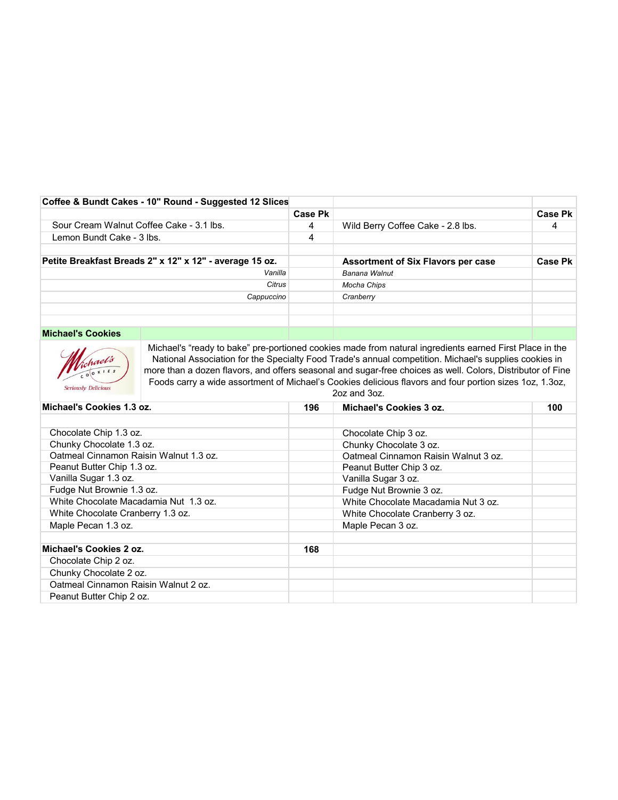| Coffee & Bundt Cakes - 10" Round - Suggested 12 Slices  |                |                                           |         |
|---------------------------------------------------------|----------------|-------------------------------------------|---------|
|                                                         | <b>Case Pk</b> |                                           | Case Pk |
| Sour Cream Walnut Coffee Cake - 3.1 lbs.                | 4              | Wild Berry Coffee Cake - 2.8 lbs.         |         |
| Lemon Bundt Cake - 3 lbs.                               | 4              |                                           |         |
|                                                         |                |                                           |         |
| Petite Breakfast Breads 2" x 12" x 12" - average 15 oz. |                | <b>Assortment of Six Flavors per case</b> | Case Pk |
| Vanilla                                                 |                | Banana Walnut                             |         |
| Citrus                                                  |                | Mocha Chips                               |         |
| Cappuccino                                              |                | Cranberry                                 |         |
|                                                         |                |                                           |         |
|                                                         |                |                                           |         |

# **Michael's Cookies**



Michael's "ready to bake" pre-portioned cookies made from natural ingredients earned First Place in the National Association for the Specialty Food Trade's annual competition. Michael's supplies cookies in more than a dozen flavors, and offers seasonal and sugar-free choices as well. Colors, Distributor of Fine Foods carry a wide assortment of Michael's Cookies delicious flavors and four portion sizes 1oz, 1.3oz, 2oz and 3oz.

| Michael's Cookies 1.3 oz.              | 196 | Michael's Cookies 3 oz.              | 100 |
|----------------------------------------|-----|--------------------------------------|-----|
|                                        |     |                                      |     |
| Chocolate Chip 1.3 oz.                 |     | Chocolate Chip 3 oz.                 |     |
| Chunky Chocolate 1.3 oz.               |     | Chunky Chocolate 3 oz.               |     |
| Oatmeal Cinnamon Raisin Walnut 1.3 oz. |     | Oatmeal Cinnamon Raisin Walnut 3 oz. |     |
| Peanut Butter Chip 1.3 oz.             |     | Peanut Butter Chip 3 oz.             |     |
| Vanilla Sugar 1.3 oz.                  |     | Vanilla Sugar 3 oz.                  |     |
| Fudge Nut Brownie 1.3 oz.              |     | Fudge Nut Brownie 3 oz.              |     |
| White Chocolate Macadamia Nut 1.3 oz.  |     | White Chocolate Macadamia Nut 3 oz.  |     |
| White Chocolate Cranberry 1.3 oz.      |     | White Chocolate Cranberry 3 oz.      |     |
| Maple Pecan 1.3 oz.                    |     | Maple Pecan 3 oz.                    |     |
|                                        |     |                                      |     |
| Michael's Cookies 2 oz.                | 168 |                                      |     |
| Chocolate Chip 2 oz.                   |     |                                      |     |
| Chunky Chocolate 2 oz.                 |     |                                      |     |
| Oatmeal Cinnamon Raisin Walnut 2 oz.   |     |                                      |     |
| Peanut Butter Chip 2 oz.               |     |                                      |     |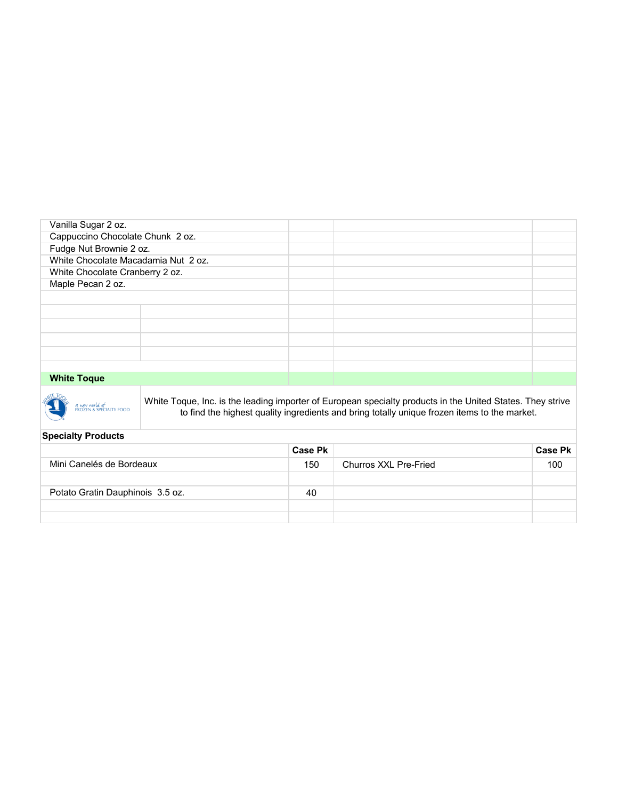| Vanilla Sugar 2 oz.                 |  |  |
|-------------------------------------|--|--|
| Cappuccino Chocolate Chunk 2 oz.    |  |  |
| Fudge Nut Brownie 2 oz.             |  |  |
| White Chocolate Macadamia Nut 2 oz. |  |  |
| White Chocolate Cranberry 2 oz.     |  |  |
| Maple Pecan 2 oz.                   |  |  |
|                                     |  |  |
|                                     |  |  |
|                                     |  |  |
|                                     |  |  |
|                                     |  |  |
|                                     |  |  |
| <b>White Toque</b>                  |  |  |

## **White Toque**



White Toque, Inc. is the leading importer of European specialty products in the United States. They strive to find the highest quality ingredients and bring totally unique frozen items to the market.

## **Specialty Products**

|                                  | <b>Case Pk</b> |                       | <b>Case Pk</b> |
|----------------------------------|----------------|-----------------------|----------------|
| Mini Canelés de Bordeaux         | 150            | Churros XXL Pre-Fried | 100            |
|                                  |                |                       |                |
| Potato Gratin Dauphinois 3.5 oz. | 40             |                       |                |
|                                  |                |                       |                |
|                                  |                |                       |                |